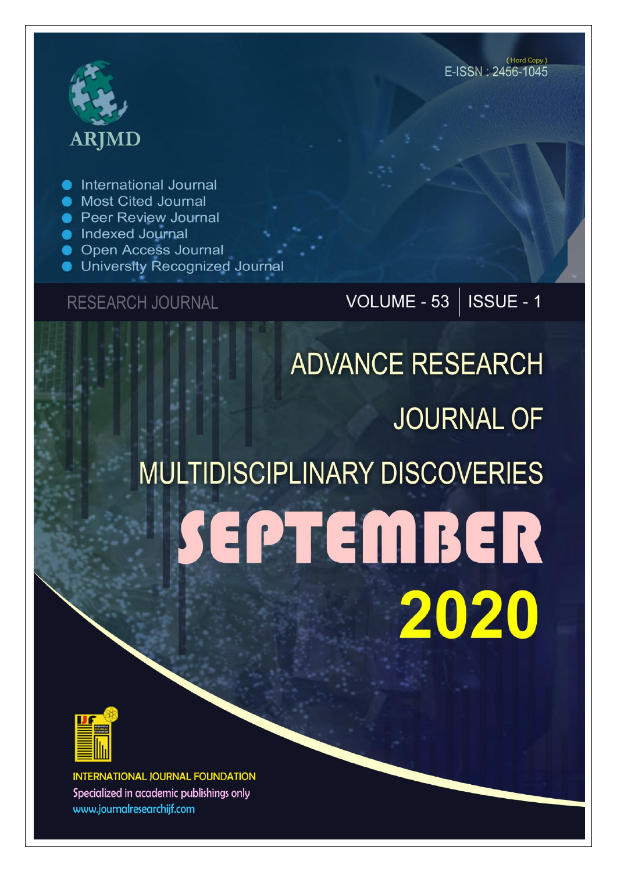# **ARJMD**

International Journal

- Most Cited Journal
- **Peer Review Journal**
- Indexed Journal
- **Open Access Journal**
- University Recognized Journal

### **RESEARCH JOURNAL**

# VOLUME - 53 | ISSUE - 1

# **ADVANCE RESEARCH JOURNAL OF MULTIDISCIPLINARY DISCOVERIES** SEPTEMBER 2020



**INTERNATIONAL JOURNAL FOUNDATION** Specialized in academic publishings only www.journalresearchijf.com

(Hard Copy) E-ISSN: 2456-1045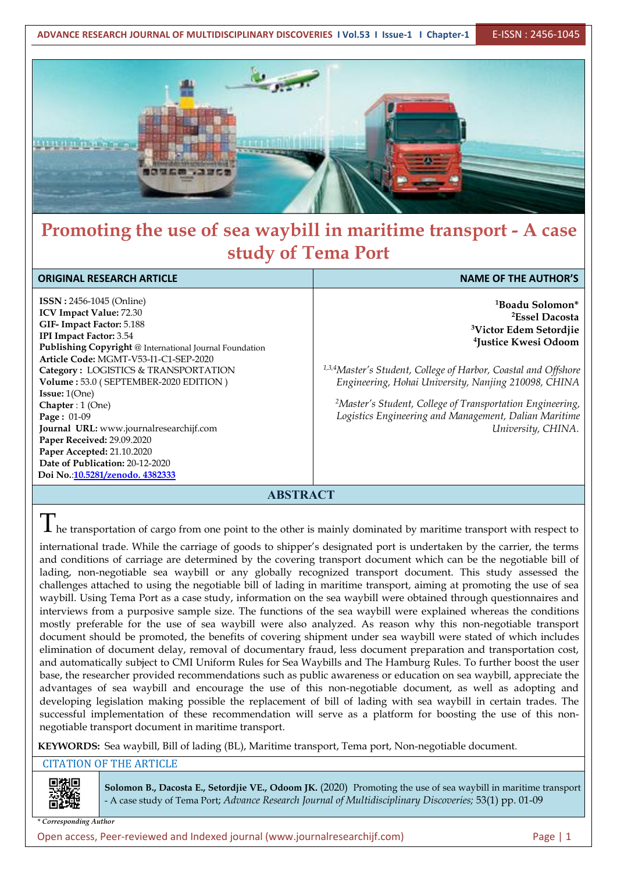**ADVANCE RESEARCH JOURNAL OF MULTIDISCIPLINARY DISCOVERIES I Vol.53 I Issue-1 I Chapter-1** E-ISSN : 2456-1045



## **Promoting the use of sea waybill in maritime transport - A case study of Tema Port**

| <b>ORIGINAL RESEARCH ARTICLE</b>                                                                                                                                                                                                                                                                                                                                                                                                                                                                                                                                         | <b>NAME OF THE AUTHOR'S</b>                                                                                                                                                                                                                                                                                                                                                                                                       |
|--------------------------------------------------------------------------------------------------------------------------------------------------------------------------------------------------------------------------------------------------------------------------------------------------------------------------------------------------------------------------------------------------------------------------------------------------------------------------------------------------------------------------------------------------------------------------|-----------------------------------------------------------------------------------------------------------------------------------------------------------------------------------------------------------------------------------------------------------------------------------------------------------------------------------------------------------------------------------------------------------------------------------|
| <b>ISSN</b> : 2456-1045 (Online)<br><b>ICV Impact Value: 72.30</b><br>GIF-Impact Factor: 5.188<br><b>IPI Impact Factor: 3.54</b><br>Publishing Copyright @ International Journal Foundation<br>Article Code: MGMT-V53-I1-C1-SEP-2020<br>Category: LOGISTICS & TRANSPORTATION<br>Volume: 53.0 (SEPTEMBER-2020 EDITION)<br><b>Issue:</b> $1(One)$<br>Chapter: 1 (One)<br><b>Page:</b> $01-09$<br>Journal URL: www.journalresearchijf.com<br>Paper Received: 29.09.2020<br>Paper Accepted: 21.10.2020<br>Date of Publication: 20-12-2020<br>Doi No.:10.5281/zenodo. 4382333 | <sup>1</sup> Boadu Solomon*<br><sup>2</sup> Essel Dacosta<br><sup>3</sup> Victor Edem Setordjie<br><sup>4</sup> Justice Kwesi Odoom<br><sup>1,3,4</sup> Master's Student, College of Harbor, Coastal and Offshore<br>Engineering, Hohai University, Nanjing 210098, CHINA<br><sup>2</sup> Master's Student, College of Transportation Engineering,<br>Logistics Engineering and Management, Dalian Maritime<br>University, CHINA. |

**ABSTRACT**

 $\prod_{i=1}^{n}$  he transportation of cargo from one point to the other is mainly dominated by maritime transport with respect to

international trade. While the carriage of goods to shipper's designated port is undertaken by the carrier, the terms and conditions of carriage are determined by the covering transport document which can be the negotiable bill of lading, non-negotiable sea waybill or any globally recognized transport document. This study assessed the challenges attached to using the negotiable bill of lading in maritime transport, aiming at promoting the use of sea waybill. Using Tema Port as a case study, information on the sea waybill were obtained through questionnaires and interviews from a purposive sample size. The functions of the sea waybill were explained whereas the conditions mostly preferable for the use of sea waybill were also analyzed. As reason why this non-negotiable transport document should be promoted, the benefits of covering shipment under sea waybill were stated of which includes elimination of document delay, removal of documentary fraud, less document preparation and transportation cost, and automatically subject to CMI Uniform Rules for Sea Waybills and The Hamburg Rules. To further boost the user base, the researcher provided recommendations such as public awareness or education on sea waybill, appreciate the advantages of sea waybill and encourage the use of this non-negotiable document, as wellas adopting and developing legislation making possible the replacement of bill of lading with sea waybill in certain trades. The successful implementation of these recommendation will serve as a platform for boosting the use of this non negotiable transport document in maritime transport.

**KEYWORDS:** Sea waybill, Bill of lading (BL), Maritime transport, Tema port, Non-negotiable document.

#### CITATION OF THE ARTICLE

**Solomon B., Dacosta E., Setordjie VE., Odoom JK.** (2020) Promoting the use of sea waybill in maritime transport - A case study of Tema Port; *Advance Research Journal ofMultidisciplinary Discoveries;* 53(1) pp. 01-09

*\* Corresponding Author*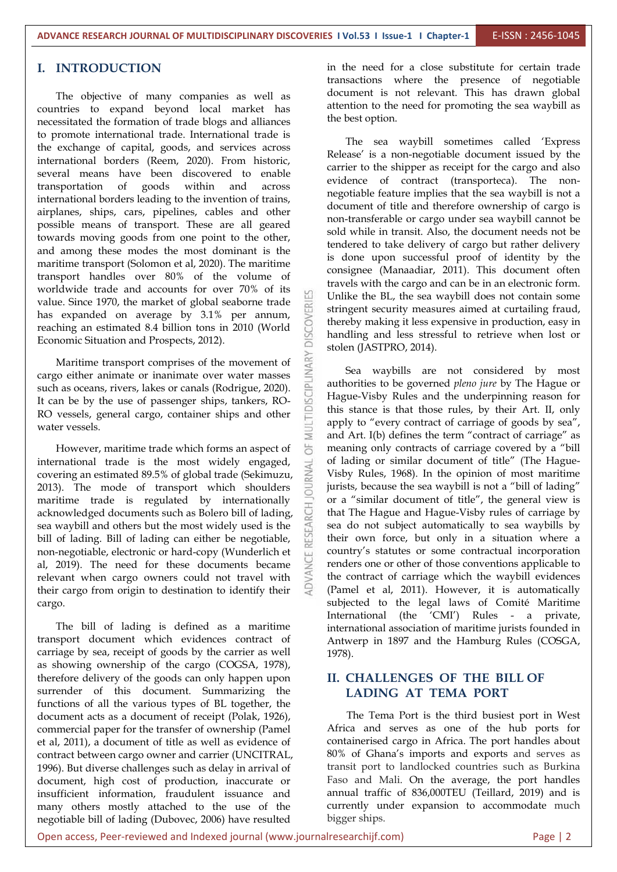#### **I. INTRODUCTION**

The objective of many companies as well as countries to expand beyond local market has necessitated the formation of trade blogs and alliances to promote international trade. International trade is the exchange of capital, goods, and services across international borders (Reem, 2020). From historic, several means have been discovered to enable transportation of goods within and across international borders leading to the invention of trains, airplanes, ships, cars, pipelines, cables and other possible means of transport. These are all geared towards moving goods from one point to the other, and among these modes the most dominant is the maritime transport (Solomon et al, 2020). The maritime transport handles over 80% of the volume of worldwide trade and accounts for over 70% of its value. Since 1970, the market of global seaborne trade<br>has expanded on average by 3.1% per annum,<br>reaching an estimated 8.4 billion tons in 2010 (World<br>Economic Situation and Prospects, 2012). has expanded on average by 3.1% per annum, reaching an estimated 8.4 billion tons in 2010 (World Economic Situation and Prospects, 2012).

Maritime transport comprises of the movement of<br>go either animate or inanimate over water masses<br>h as oceans, rivers, lakes or canals (Rodrigue, 2020).<br>an be by the use of passenger ships, tankers, RO-<br>grossele, concept e cargo either animate or inanimate over water masses such as oceans, rivers, lakes or canals (Rodrigue, 2020). It can be by the use of passenger ships, tankers, RO- RO vessels, general cargo, container ships and other water vessels.

However, maritime trade which forms an aspect of  $\overrightarrow{6}$ international trade is the most widely engaged,<br>covering an estimated 89.5% of global trade (Sekimuzu, covering an estimated 89.5% of global trade (Sekimuzu, 2013). The mode of transport which shoulders maritime trade is regulated by internationally acknowledged documents such as Bolero bill of lading, sea waybill and others but the most widely used is the bill of lading. Bill of lading can either be negotiable, non-negotiable, electronic or hard-copy (Wunderlich et al, 2019). The need for these documents became relevant when cargo owners could not travel with their cargo from origin to destination to identify their cargo.

The bill of lading is defined as a maritime transport document which evidences contract of carriage by sea, receipt of goods by the carrier as well as showing ownership of the cargo (COGSA, 1978), therefore delivery of the goods can only happen upon surrender of this document. Summarizing the functions of all the various types of BL together, the document acts as a document of receipt (Polak, 1926), commercial paper for the transfer of ownership (Pamel et al, 2011), a document of title as well as evidence of contract between cargo owner and carrier (UNCITRAL, 1996). But diverse challenges such as delay in arrival of document, high cost of production, inaccurate or insufficient information, fraudulent issuance and many others mostly attached to the use of the negotiable bill of lading (Dubovec, 2006) have resulted

in the need for a close substitute for certain trade transactions where the presence of negotiable document is not relevant. This has drawn global attention to the need for promoting the sea waybill as the best option.

The sea waybill sometimes called 'Express Release' is a non-negotiable document issued by the carrier to the shipper as receipt for the cargo and also evidence of contract (transporteca). The non negotiable feature implies that the sea waybill is not a document of title and therefore ownership of cargo is non-transferable or cargo under sea waybill cannot be sold while in transit. Also, the document needs not be tendered to take delivery of cargo but rather delivery is done upon successful proof of identity by the consignee (Manaadiar, 2011). This document often travels with the cargo and can be in an electronic form. Unlike the BL, the sea waybill does not contain some stringent security measures aimed at curtailing fraud, thereby making it less expensive in production, easy in handling and less stressful to retrieve when lost or stolen (JASTPRO, 2014).

Sea waybills are not considered by most authorities to be governed *pleno jure* by The Hague or Hague-Visby Rules and the underpinning reason for this stance is that those rules, by their Art. II, only apply to "every contract of carriage of goods by sea", and Art. I(b) defines the term "contract of carriage" as meaning only contracts of carriage covered by a "bill of lading or similar document of title" (The Hague- Visby Rules, 1968). In the opinion of most maritime jurists, because the sea waybill is not a "bill of lading" or a "similar document of title", the general view is that The Hague and Hague-Visby rules of carriage by sea do not subject automatically to sea waybills by their own force, but only in a situation where a country's statutes or some contractual incorporation renders one or other of those conventions applicable to the contract of carriage which the waybill evidences (Pamel et al, 2011). However, it is automatically subjected to the legal laws of Comité Maritime International (the 'CMI') Rules - a private, international association of maritime jurists founded in Antwerp in 1897 and the Hamburg Rules (COSGA, 1978).

#### **II. CHALLENGES OF THE BILL OF LADING AT TEMA PORT**

The Tema Port is the third busiest port in West Africa and serves as one of the hub ports for containerised cargo in Africa. The port handles about 80% of Ghana's imports and exports and serves as transit port to landlocked countries such as Burkina Faso and Mali. On the average, the port handles annual traffic of 836,000TEU (Teillard, 2019) and is currently under expansion to accommodate much bigger ships.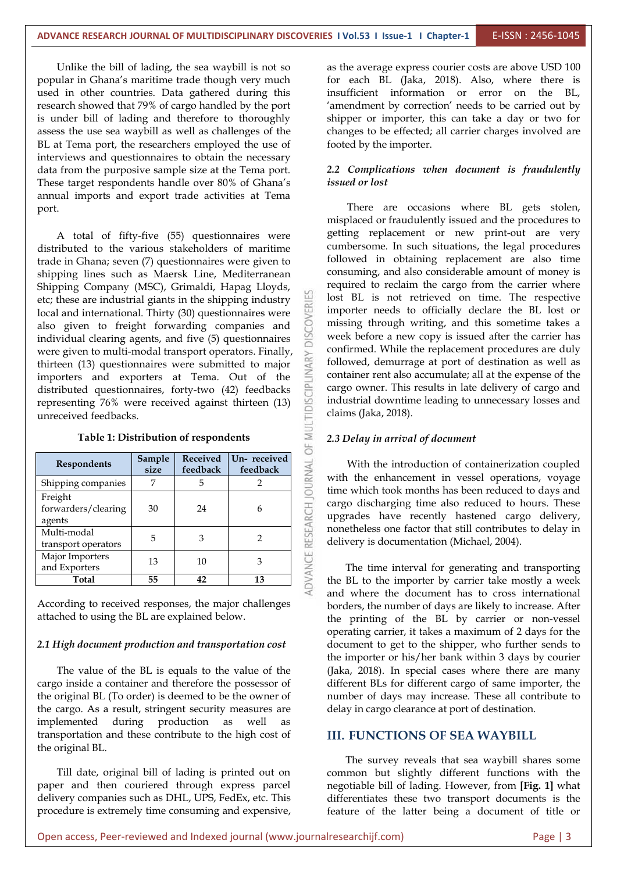Unlike the bill of lading, the sea waybill is not so popular in Ghana's maritime trade though very much used in other countries. Data gathered during this research showed that 79% of cargo handled by the port is under bill of lading and therefore to thoroughly assess the use sea waybill as well as challenges of the BL at Tema port, the researchers employed the use of interviews and questionnaires to obtain the necessary data from the purposive sample size at the Tema port. These target respondents handle over 80% of Ghana's annual imports and export trade activities at Tema port.<br>A total of fifty-five (55) questionnaires were

distributed to the various stakeholders of maritime trade in Ghana; seven (7) questionnaires were given to shipping lines such as Maersk Line, Mediterranean Shipping Company (MSC), Grimaldi, Hapag Lloyds, etc; these are industrial giants in the shipping industry<br>local and international. Thirty (30) questionnaires were<br>also given to freight forwarding companies and<br>individual clearing agents, and five (5) questionnaires local and international. Thirty (30) questionnaires were also given to freight forwarding companies and individual clearing agents, and five (5) questionnaires thirteen (13) questionnaires were submitted to major importers and exporters at Tema. Out of the distributed questionnaires, forty-two (42) feedbacks representing 76% were received against thirteen (13) unreceived feedbacks.

| importers and exporters at Tema. Out of the<br>distributed questionnaires, forty-two (42) feedbacks<br>representing 76% were received against thirteen (13)<br>unreceived feedbacks. | cargo<br>indus<br>claim |
|--------------------------------------------------------------------------------------------------------------------------------------------------------------------------------------|-------------------------|
| Table 1: Distribution of respondents                                                                                                                                                 | $2.3D_6$                |
| Un-received<br>Received<br>Sample<br><b>Respondents</b><br>feedback<br>feedback<br>size                                                                                              | V                       |
| Shipping companies<br>5<br>7<br>2                                                                                                                                                    | with<br>time y          |
| Freight<br>forwarders/clearing<br>30<br>24<br>6<br>agents                                                                                                                            | cargo<br>upgra          |
| Multi-modal<br>5<br>3<br>$\overline{2}$<br>transport operators                                                                                                                       | nonet<br>delive         |
| Major Importers<br>13<br>10<br>3<br>and Exporters                                                                                                                                    | T                       |
| 55<br>42<br>13<br>Total                                                                                                                                                              | the B<br>$\mathbf{J}$   |

According to received responses, the major challenges attached to using the BL are explained below.

#### *2.1 High document production and transportation cost*

The value of the BL is equals to the value of the cargo inside a container and therefore the possessor of the original BL (To order) is deemed to be the owner of the cargo. As a result, stringent security measures are implemented during production as well as transportation and these contribute to the high cost of the original BL.

Till date, original bill of lading is printed out on paper and then couriered through express parcel delivery companies such as DHL, UPS, FedEx, etc. This procedure is extremely time consuming and expensive,

as the average express courier costs are above USD 100 for each BL (Jaka, 2018). Also, where there is insufficient information or error on the BL, 'amendment by correction' needs to be carried out by shipper or importer, this can take a day or two for changes to be effected; all carrier charges involved are footed by the importer.

#### *2.2 Complications when document is fraudulently issued or lost*

There are occasions where BL gets stolen, misplaced or fraudulently issued and the procedures to getting replacement or new print-out are very cumbersome. In such situations, the legal procedures followed in obtaining replacement are also time consuming, and also considerable amount of money is required to reclaim the cargo from the carrier where lost BL is not retrieved on time. The respective importer needs to officially declare the BL lost or missing through writing, and this sometime takes a week before a new copy is issued after the carrier has confirmed. While the replacement procedures are duly followed, demurrage at port of destination as well as container rent also accumulate; all at the expense of the cargo owner. This results in late delivery of cargo and industrial downtime leading to unnecessary losses and claims (Jaka, 2018).

#### *2.3 Delay in arrival of document*

Un- **received**  $\leq$  With the introduction of containerization coupled **feedback**  $\geq$  with the enhancement in vessel operations, voyage time which took months has been reduced to days and cargo discharging time also reduced to hours. These upgrades have recently hastened cargo delivery, nonetheless one factor that still contributes to delay in delivery is documentation (Michael, 2004).

> The time interval for generating and transporting the BL to the importer by carrier take mostly a week and where the document has to cross international borders, the number of days are likely to increase. After the printing of the BL by carrier or non-vessel operating carrier, it takes a maximum of 2 days for the document to get to the shipper, who further sends to the importer or his/her bank within 3 days by courier (Jaka, 2018). In special cases where there are many different BLs for different cargo of same importer, the number of days may increase. These all contribute to delay in cargo clearance at port of destination.

#### **III. FUNCTIONS OF SEA WAYBILL**

The survey reveals that sea waybill shares some common but slightly different functions with the negotiable bill of lading. However, from **[Fig. 1]** what differentiates these two transport documents is the feature of the latter being a document of title or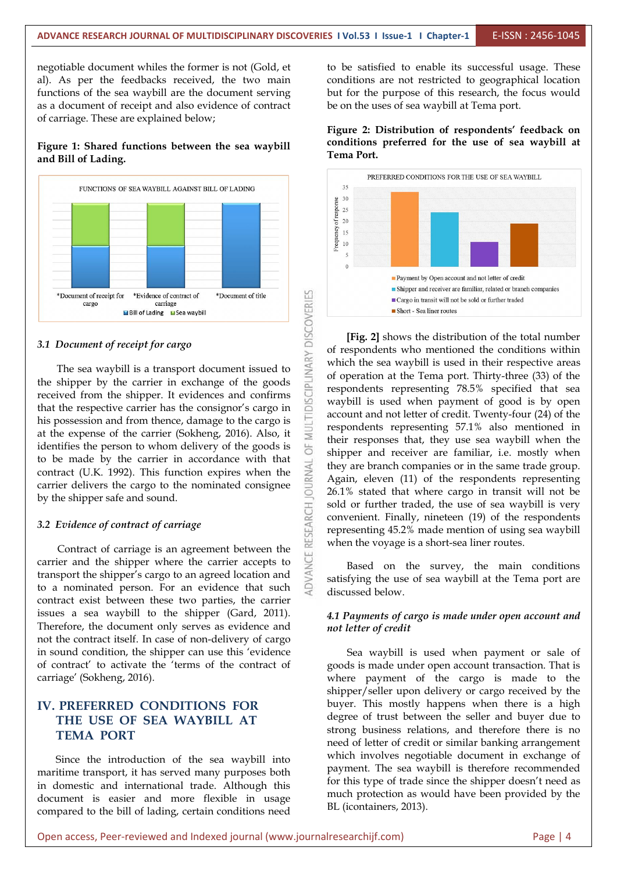negotiable document whiles the former is not (Gold, et al). As per the feedbacks received, the two main functions of the sea waybill are the document serving as a document of receipt and also evidence of contract of carriage. These are explained below;

#### **Figure 1: Shared functions between the sea waybill and Bill of Lading.**



#### *3.1 Document ofreceipt for cargo*

\*Document of receipt for \*Evidence of contract of \*Document of title<br>
ariage<br> **EBIN of Lading ESEA waybill**<br>
Document of receipt for cargo<br>
The sea waybill is a transport document issued to<br>
shipper by the carrier in excha the shipper by the carrier in exchange of the goods received from the shipper. It evidences and confirms that the respective carrier has the consignor's cargo in his possession and from thence, damage to the cargo is at the expense of the carrier (Sokheng, 2016). Also, it identifies the person to whom delivery of the goods is to be made by the carrier in accordance with that contract (U.K. 1992). This function expires when the carrier delivers the cargo to the nominated consignee contract (U.K. 1992). This function expires when the carrier delivers the cargo to the nominated consignee by the shipper safe and sound.

#### *3.2 Evidence of contract of carriage*

Evidence of contract of carriage<br>Contract of carriage is an agreement between the<br>ier and the shipper where the carrier accepts to<br>sport the shipper's cargo to an agreed location and carrier and the shipper where the carrier accepts to transport the shipper's cargo to an agreed location and to a nominated person. For an evidence that such contract exist between these two parties, the carrier issues a sea waybill to the shipper (Gard, 2011). Therefore, the document only serves as evidence and not the contract itself. In case of non-delivery of cargo in sound condition, the shipper can use this 'evidence of contract' to activate the 'terms of the contract of carriage' (Sokheng, 2016).

#### **IV. PREFERRED CONDITIONS FOR THE USE OF SEA WAYBILL AT TEMA PORT**

Since the introduction of the sea waybill into maritime transport, it has served many purposes both in domestic and international trade. Although this document is easier and more flexible in usage compared to the bill of lading, certain conditions need to be satisfied to enable its successful usage. These conditions are not restricted to geographical location but for the purpose of this research, the focus would be on the uses of sea waybill at Tema port.

**Figure 2: Distribution of respondents' feedback on conditions preferred for the use of sea waybill at Tema Port.**



**[Fig. 2]** shows the distribution of the total number of respondents who mentioned the conditions within which the sea waybill is used in their respective areas of operation at the Tema port. Thirty-three (33) of the respondents representing 78.5% specified that sea waybill is used when payment of good is by open account and not letter of credit. Twenty-four (24) of the respondents representing 57.1% also mentioned in their responses that, they use sea waybill when the shipper and receiver are familiar, i.e. mostly when they are branch companies or in the same trade group. Again, eleven (11) of the respondents representing 26.1% stated that where cargo in transit will not be sold or further traded, the use of sea waybill is very convenient. Finally, nineteen (19) of the respondents representing 45.2% made mention of using sea waybill when the voyage is a short-sea liner routes.

Based on the survey, the main conditions satisfying the use of sea waybill at the Tema port are discussed below.

#### *4.1 Payments of cargo is made under open account and not letter of credit*

Sea waybill is used when payment or sale of goods is made under open account transaction. That is where payment of the cargo is made to the shipper/seller upon delivery or cargo received by the buyer. This mostly happens when there is a high degree of trust between the seller and buyer due to strong business relations, and therefore there is no need of letter of credit or similar banking arrangement which involves negotiable document in exchange of payment. The sea waybill is therefore recommended for this type of trade since the shipper doesn't need as much protection as would have been provided by the BL (icontainers, 2013).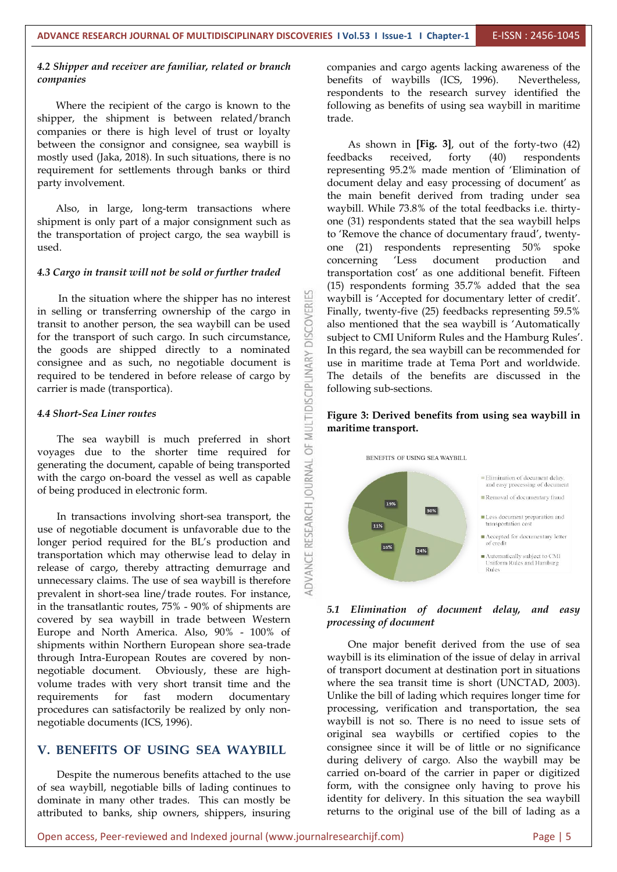#### *4.2 Shipper and receiver are familiar, related or branch companies*

Where the recipient of the cargo is known to the shipper, the shipment is between related/branch companies or there is high level of trust or loyalty between the consignor and consignee, sea waybill is mostly used (Jaka, 2018). In such situations, there is no feedbacks received, requirement for settlements through banks or third party involvement.

Also, in large, long-term transactions where shipment is only part of a major consignment such as the transportation of project cargo, the sea waybill is used.

#### *4.3 Cargo in transit will not be sold or further traded*

In the situation where the shipper has no interest<br>elling or transferring ownership of the cargo in<br>sit to another person, the sea waybill can be used<br>the transport of such cargo. In such circumstance, in selling or transferring ownership of the cargo in transit to another person, the sea waybill can be used for the transport of such cargo. In such circumstance, the goods are shipped directly to a nominated<br>
consignee and as such, no negotiable document is<br>
required to be tendered in before release of cargo by<br>
carrier is made (transportica).<br>
4.4 Short-Sea Liner routes<br>
The sea consignee and as such, no negotiable document is required to be tendered in before release of cargo by carrier is made (transportica).

#### *4.4 Short-Sea Liner routes*

The sea waybill is much preferred in short  $\sum_{u=1}^{\infty}$  ages due to the shorter time required for voyages due to the shorter time required for  $\overline{O}$ <br>generating the document, capable of being transported with the cargo on-board the vessel as well as capable<br>of being produced in electronic form. generating the document, capable of being transported with the cargo on-board the vessel as well as capable of being produced in electronic form.

In transactions involving short-sea transport, the<br>
of negotiable document is unfavorable due to the<br>
ger period required for the BL's production and<br>
sportation which may otherwise lead to delay in<br>
ase of cargo, thereby use of negotiable document is unfavorable due to the longer period required for the BL's production and transportation which may otherwise lead to delay in release of cargo, thereby attracting demurrage and unnecessary claims. The use of sea waybill is therefore prevalent in short-sea line/trade routes. For instance, in the transatlantic routes, 75% - 90% of shipments are covered by sea waybill in trade between Western Europe and North America. Also, 90% - 100% of shipments within Northern European shore sea-trade through Intra-European Routes are covered by non negotiable document. Obviously, these are high volume trades with very short transit time and the requirements for fast modern documentary Unlike-the-bill-of-lading-which-requires-longer-time-forprocedures can satisfactorily be realized by only non negotiable documents (ICS, 1996).

#### **V. BENEFITS OF USING SEA WAYBILL**

Despite the numerous benefits attached to the use of sea waybill, negotiable bills of lading continues to dominate in many other trades. This can mostly be attributed to banks, ship owners, shippers, insuring companies and cargo agents lacking awareness of the benefits of waybills (ICS, 1996). Nevertheless, respondents to the research survey identified the following as benefits of using sea waybill in maritime

As shown in  $[Fig. 3]$ , out of the forty-two  $(42)$ forty  $(40)$  respondents representing 95.2% made mention of 'Elimination of document delay and easy processing of document' as the main benefit derived from trading under sea waybill. While 73.8% of the total feedbacks i.e. thirty one (31) respondents stated that the sea waybill helps to 'Remove the chance of documentary fraud', twenty one (21) respondents representing 50% spoke concerning 'Less document production and transportation cost' as one additional benefit. Fifteen (15) respondents forming 35.7% added that the sea waybill is 'Accepted for documentary letter of credit'. Finally, twenty-five (25) feedbacks representing 59.5% also mentioned that the sea waybill is 'Automatically subject to CMI Uniform Rules and the Hamburg Rules'. In this regard, the sea waybill can be recommended for use in maritime trade at Tema Port and worldwide. The details of the benefits are discussed in the following sub-sections.

#### **Figure 3: Derived benefits from using sea waybill in maritime transport.**



#### *5.1 Elimination of document delay, and easy processing of document*

One major benefit derived from the use of sea waybill is its elimination of the issue of delay in arrival of transport document at destination port in situations where the sea transit time is short (UNCTAD, 2003). processing, verification and transportation, the sea waybill is not so. There is no need to issue sets of original sea waybills or certified copies to the consignee since it will be of little or no significance during delivery of cargo. Also the waybill may be carried on-board of the carrier in paper or digitized form, with the consignee only having to prove his identity for delivery. In this situation the sea waybill returns to the original use of the bill of lading as a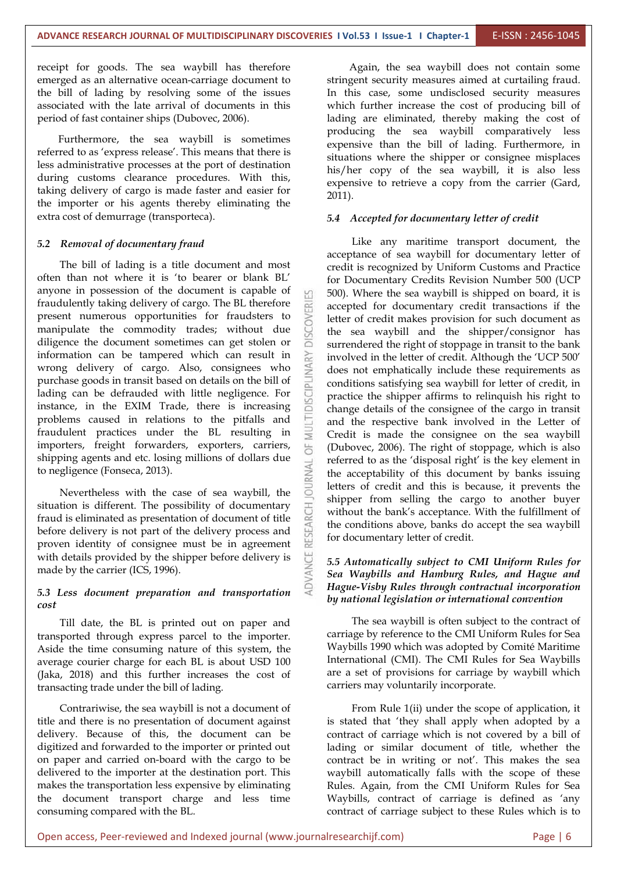receipt for goods. The sea waybill has therefore emerged as an alternative ocean-carriage document to the bill of lading by resolving some of the issues associated with the late arrival of documents in this period of fast container ships (Dubovec, 2006).

Furthermore, the sea waybill is sometimes referred to as 'express release'. This means that there is less administrative processes at the port of destination during customs clearance procedures. With this, taking delivery of cargo is made faster and easier for the importer or his agents thereby eliminating the extra cost of demurrage (transporteca).

#### *5.2 Removal of documentary fraud*

The bill of lading is a title document and most often than not where it is 'to bearer or blank BL' anyone in possession of the document is capable of fraudulently taking delivery of cargo. The BL therefore present numerous opportunities for fraudsters to<br>manipulate the commodity trades; without due<br>diligence the document sometimes can get stolen or manipulate the commodity trades; without due diligence the document sometimes can get stolen or information can be tampered which can result in<br>wrong delivery of cargo. Also, consignees who<br>purchase goods in transit based on details on the bill of<br>lading can be defrauded with little negligence. For wrong delivery of cargo. Also, consignees who purchase goods in transit based on details on the bill of lading can be defrauded with little negligence. For instance, in the EXIM Trade, there is increasing problems caused in relations to the pitfalls and fraudulent practices under the BL resulting in instance, in the EXIM Trade, there is increasing problems caused in relations to the pitfalls and fraudulent practices under the BL resulting in importers, freight forwarders, exporters, carriers, shipping agents and etc. losing millions of dollars due to negligence (Fonseca, 2013).

Nevertheless with the case of sea waybill, the situation is different. The possibility of documentary<br>fraud is eliminated as presentation of document of title<br>before delivery is not part of the delivery process and<br>proven identity of consignee must be in agreement fraud is eliminated as presentation of document of title before delivery is not part of the delivery process and proven identity of consignee must be in agreement with details provided by the shipper before delivery is made by the carrier (ICS, 1996).

#### *5.3 Less document preparation and transportation cost*

Till date, the BL is printed out on paper and transported through express parcel to the importer. Aside the time consuming nature of this system, the average courier charge for each BL is about USD 100 (Jaka, 2018) and this further increases the cost of transacting trade under the bill of lading.

Contrariwise, the sea waybill is not a document of title and there is no presentation of document against delivery. Because of this, the document can be digitized and forwarded to the importer or printed out on paper and carried on-board with the cargo to be delivered to the importer at the destination port. This makes the transportation less expensive by eliminating the document transport charge and less time consuming compared with the BL.

Again, the sea waybill does not contain some stringent security measures aimed at curtailing fraud. In this case, some undisclosed security measures which further increase the cost of producing bill of lading are eliminated, thereby making the cost of producing the sea waybill comparatively less expensive than the bill of lading. Furthermore, in situations where the shipper or consignee misplaces his/her copy of the sea waybill, it is also less expensive to retrieve a copy from the carrier (Gard, 2011).

#### *5.4 Accepted for documentary letter of credit*

Like any maritime transport document, the acceptance of sea waybill for documentary letter of credit is recognized by Uniform Customs and Practice for Documentary Credits Revision Number 500 (UCP 500). Where the sea waybill is shipped on board, it is accepted for documentary credit transactions if the letter of credit makes provision for such document as the sea waybill and the shipper/consignor has surrendered the right of stoppage in transit to the bank involved in the letter of credit. Although the 'UCP 500' does not emphatically include these requirements as conditions satisfying sea waybill for letter of credit, in practice the shipper affirms to relinquish his right to change details of the consignee of the cargo in transit and the respective bank involved in the Letter of Credit is made the consignee on the sea waybill (Dubovec, 2006). The right of stoppage, which is also referred to as the 'disposal right' is the key element in the acceptability of this document by banks issuing letters of credit and this is because, it prevents the shipper from selling the cargo to another buyer without the bank's acceptance. With the fulfillment of the conditions above, banks do accept the sea waybill for documentary letter of credit.

#### *5.5 Automatically subject to CMI Uniform Rules for Sea Waybills and Hamburg Rules, and Hague and Hague-Visby Rules through contractual incorporation by national legislation or international convention*

The sea waybill is often subject to the contract of carriage by reference to the CMI Uniform Rules for Sea Waybills 1990 which was adopted by Comité Maritime International (CMI). The CMI Rules for Sea Waybills are a set of provisions for carriage by waybill which carriers may voluntarily incorporate.

From Rule 1(ii) under the scope of application, it is stated that 'they shall apply when adopted by a contract of carriage which is not covered by a bill of lading or similar document of title, whether the contract be in writing or not'. This makes the sea waybill automatically falls with the scope of these Rules. Again, from the CMI Uniform Rules for Sea Waybills, contract of carriage is defined as 'any contract of carriage subject to these Rules which is to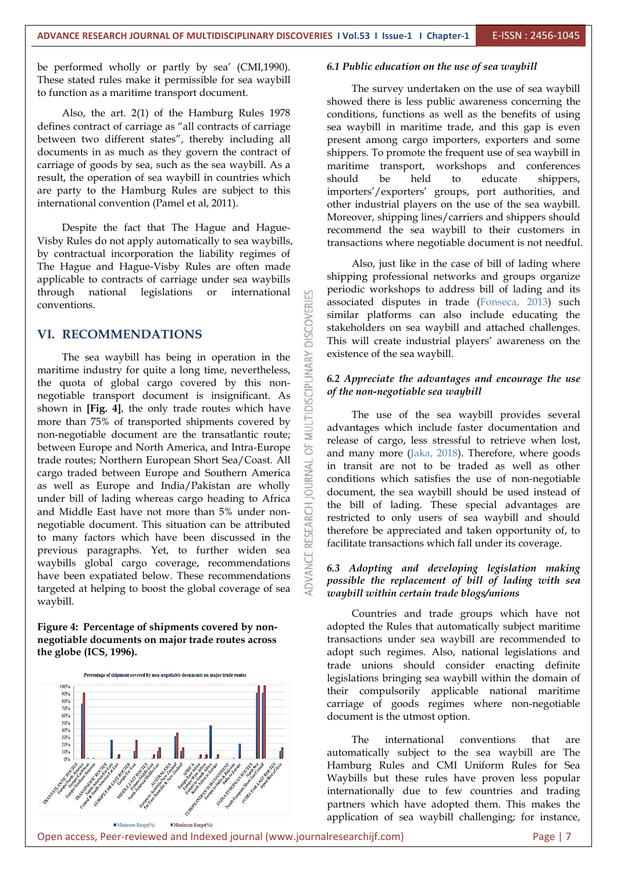be performed wholly or partly by sea' (CMI,1990). These stated rules make it permissible for sea waybill to function as a maritime transport document.

Also, the art. 2(1) of the Hamburg Rules 1978 defines contract of carriage as "all contracts of carriage between two different states", thereby including all documents in as much as they govern the contract of carriage of goods by sea, such as the sea waybill. As a result, the operation of sea waybill in countries which are party to the Hamburg Rules are subject to this international convention (Pamel et al, 2011).

Despite the fact that The Hague and Hague- Visby Rules do not apply automatically to sea waybills, by contractual incorporation the liability regimes of The Hague and Hague-Visby Rules are often made applicable to contracts of carriage under sea waybills through national legislations or international m conventions.

**VI. RECOMMENDATIONS**<br>
The sea waybill has being in operation in the<br>
maritime industry for quite a long time, nevertheless,<br>
the quota of global cargo covered by this non-<br>
negotiable transport document is insignificant. The sea waybill has being in operation in the maritime industry for quite a long time, nevertheless, the quota of global cargo covered by this non negotiable transport document is insignificant. As shown in **[Fig. 4]**, the only trade routes which have more than 75% of transported shipments covered by non-negotiable document are the transatlantic route; between Europe and North America, and Intra-Europe trade routes; Northern European Short Sea/Coast. All<br>cargo traded between Europe and Southern America<br>as well as Europe and India/Pakistan are wholly cargo traded between Europe and Southern America as well as Europe and India/Pakistan are wholly under bill of lading whereas cargo heading to Africa and Middle East have not more than 5% under non negotiable document. This situation can be attributed to many factors which have been discussed in the previous paragraphs. Yet, to further widen sea waybills global cargo coverage, recommendations have been expatiated below. These recommendations targeted at helping to boost the global coverage of sea waybill.

#### **Figure 4: Percentage of shipments covered by non negotiable documents on major trade routes across the globe (ICS, 1996).**



#### *6.1 Public education on the use of sea waybill*

The survey undertaken on the use of sea waybill showed there is less public awareness concerning the conditions, functions as well as the benefits of using sea waybill in maritime trade, and this gap is even present among cargo importers, exporters and some shippers. To promote the frequent use of sea waybill in maritime transport, workshops and conferences held to educate shippers, importers'/exporters' groups, port authorities, and other industrial players on the use of the sea waybill. Moreover, shipping lines/carriers and shippers should recommend the sea waybill to their customers in transactions where negotiable document is not needful.

Also, just like in the case of bill of lading where shipping professional networks and groups organize periodic workshops to address bill of lading and its associated disputes in trade (Fonseca, 2013) such similar platforms can also include educating the stakeholders on sea waybill and attached challenges. This will create industrial players' awareness on the existence of the sea waybill.

#### *6.2 Appreciate the advantages and encourage the use of the non-negotiable sea waybill*

The use of the sea waybill provides several advantages which include faster documentation and release of cargo, less stressful to retrieve when lost, and many more (Jaka, 2018). Therefore, where goods in transit are not to be traded as well as other conditions which satisfies the use of non-negotiable document, the sea waybill should be used instead of the bill of lading. These special advantages are restricted to only users of sea waybill and should therefore be appreciated and taken opportunity of, to facilitate transactions which fall under its coverage.

#### *6.3 Adopting and developing legislation making possible the replacement of bill of lading with sea waybill within certain trade blogs/unions*

Countries and trade groups which have not adopted the Rules that automatically subject maritime transactions under sea waybill are recommended to adopt such regimes. Also, national legislations and trade unions should consider enacting definite legislations bringing sea waybill within the domain of their compulsorily applicable national maritime carriage of goods regimes where non-negotiable document is the utmost option.

The international conventions that are automatically subject to the sea waybill are The Hamburg Rules and CMI Uniform Rules for Sea Waybills but these rules have proven less popular internationally due to few countries and trading partners which have adopted them. This makes the application of sea waybill challenging; for instance,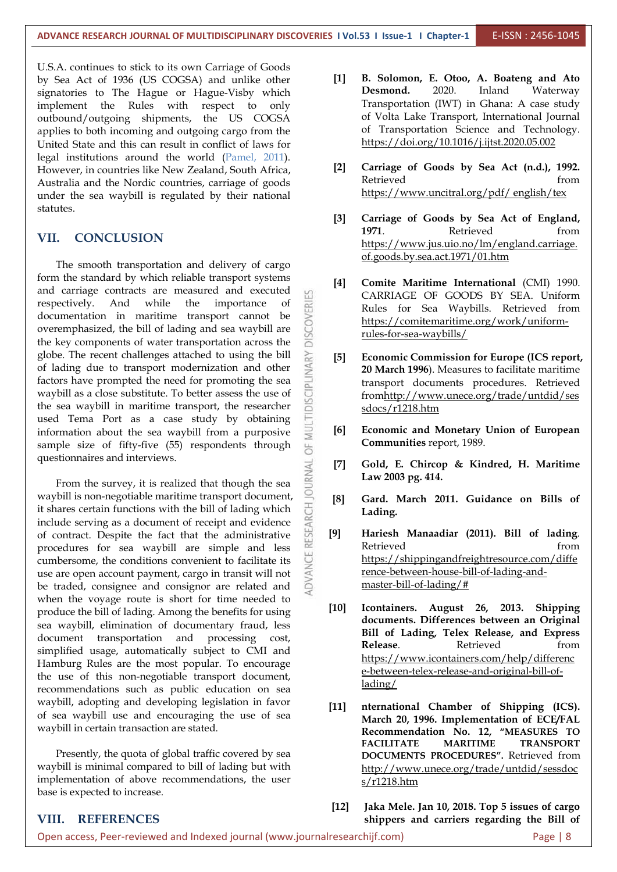U.S.A. continues to stick to its own Carriage of Goods by Sea Act of 1936 (US COGSA) and unlike other [1] B. Solomond.<br>
Examples to The Hague or Hague Visby, which Desmond. signatories to The Hague or Hague-Visby which implement the Rules with respect to only outbound/outgoing shipments, the US COGSA applies to both incoming and outgoing cargo from the United State and this can result in conflict of laws for legal institutions around the world (Pamel, 2011).<br>However in countries like New Zealand South Africa [2] However, in countries like New Zealand, South Africa, [2] Carriage Australia and the Newlis countries carriage of goods Retrieved Australia and the Nordic countries, carriage of goods under the sea waybill is regulated by their national statutes.

#### **VII. CONCLUSION**

The smooth transportation and delivery of cargo form the standard by which reliable transport systems and carriage contracts are measured and executed respectively. And while the importance of documentation in maritime transport cannot be overemphasized, the bill of lading and sea waybill are the key components of water transportation across the documentation in maritime transport cannot be overemphasized, the bill of lading and sea waybill are the key components of water transportation across the globe. The recent challenges attached to using the bill<br>of lading due to transport modernization and other<br>factors have prompted the need for promoting the sea<br>waybill as a close substitute. To better assess the use of<br>th of lading due to transport modernization and other factors have prompted the need for promoting the sea waybill as a close substitute. To better assess the use of the sea waybill in maritime transport, the researcher used Tema Port as a case study by obtaining  $\Box$ <br>information about the sea waybill from a nurnosive  $\Box$  [6] information about the sea waybill from a purposive sample size of fifty-five (55) respondents through questionnaires and interviews.

stionnaires and interviews.<br>From the survey, it is realized that though the sea<br>hill is non-negotiable maritime transport document waybill is non-negotiable maritime transport document,<br>it shares certain functions with the bill of lading which<br>include serving as a document of receipt and evidence<br>of contract. Despite the fact that the administrative<br>m it shares certain functions with the bill of lading which include serving as a document of receipt and evidence<br>of contract. Despite the fact that the administrative of contract. Despite the fact that the administrative procedures for sea waybill are simple and less cumbersome, the conditions convenient to facilitate its use are open account payment, cargo in transit will not be traded, consignee and consignor are related and when the voyage route is short for time needed to<br>readuce the bill of lading America the hencite for using produce the bill of lading. Among the benefits for using sea waybill, elimination of documentary fraud, less document transportation and processing cost, **Exploring DIT** of simplified usage, automatically subject to CMI and Hamburg Rules are the most popular. To encourage the use of this non-negotiable transport document, recommendations such as public education on sea waybill, adopting and developing legislation in favor of sea waybill use and encouraging the use of sea waybill in certain transaction are stated.

Presently, the quota of global traffic covered by sea waybill is minimal compared to bill of lading but with implementation of above recommendations, the user base is expected to increase.

- **[1] B. Solomon, E. Otoo, A. Boateng and Ato** 2020. Inland Waterway Transportation (IWT) in Ghana: A case study of Volta Lake Transport, International Journal of Transportation Science and Technology. <https://doi.org/10.1016/j.ijtst.2020.05.002>
- **[2] Carriage of Goods by Sea Act (n.d.), 1992.** Retrieved from  $\parallel$ https://www.uncitral.org/pdf/ english/tex
- **[3] Carriage of Goods by Sea Actof England, 1971.** Retrieved from [https://www.jus.uio.no/lm/england.carriage.](https://www.jus.uio.no/lm/england.carriage.of.goods.by.sea.act.1971/01.htm) of.goods.by.sea.act.1971/01.htm
- **[4] Comite Maritime International** (CMI) 1990. CARRIAGE OF GOODS BY SEA. Uniform Rules for Sea Waybills. Retrieved from [https://comitemaritime.org/work/uniform](https://comitemaritime.org/work/uniform-rules-for-sea-waybills/) rules-for-sea-waybills/
- **[5] Economic Commission for Europe (ICS report, 20 March 1996**). Measures to facilitate maritime transport documents procedures. Retrieved fro[mhttp://www.unece.org/trade/untdid/ses](http://www.unece.org/trade/untdid/sessdocs/r1218.htm) sdocs/r1218.htm
- **[6] Economic and Monetary Union of European Communities** report, 1989.
- **[7] Gold, E. Chircop & Kindred, H. Maritime Law 2003 pg. 414.**
- **[8] Gard. March 2011. Guidance on Bills of Lading.**
- **[9] Hariesh Manaadiar (2011). Bill of lading**. Retrieved from **from** [https://shippingandfreightresource.com/diffe](https://shippingandfreightresource.com/difference-between-house-bill-of-lading-and-master-bill-of-lading/) rence-between-house-bill-of-lading-and master-bill-of-lading/#
- **[10] Icontainers. August 26, 2013. Shipping documents. Differences between an Original Bill of Lading, Telex Release, and Express Release.** Retrieved from [https://www.icontainers.com/help/differenc](https://www.icontainers.com/help/difference-between-telex-release-and-original-bill-of-lading/) e-between-telex-release-and-original-bill-oflading/
- **[11] nternational Chamber of Shipping (ICS). March 20, 1996. Implementation of ECE/FAL Recommendation No. 12, "MEASURES TO FACILITATE MARITIME TRANSPORT DOCUMENTS PROCEDURES".** Retrieved from [http://www.unece.org/trade/untdid/sessdoc](http://www.unece.org/trade/untdid/sessdocs/r1218.htm) s/r1218.htm
- **[12] Jaka Mele. Jan 10, 2018. Top 5 issues of cargo shippers and carriers regarding the Billof**

#### **VIII. REFERENCES**